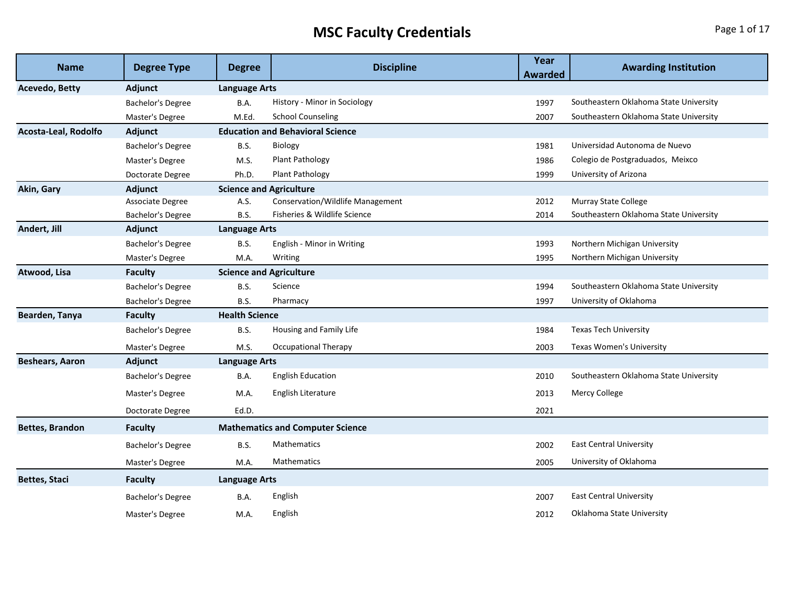## **MSC Faculty Credentials Page 1 of 17**

| <b>Name</b>            | <b>Degree Type</b>       | <b>Degree</b>                  | <b>Discipline</b>                       | Year<br><b>Awarded</b> | <b>Awarding Institution</b>            |
|------------------------|--------------------------|--------------------------------|-----------------------------------------|------------------------|----------------------------------------|
| <b>Acevedo, Betty</b>  | <b>Adjunct</b>           | <b>Language Arts</b>           |                                         |                        |                                        |
|                        | <b>Bachelor's Degree</b> | <b>B.A.</b>                    | History - Minor in Sociology            | 1997                   | Southeastern Oklahoma State University |
|                        | Master's Degree          | M.Ed.                          | <b>School Counseling</b>                | 2007                   | Southeastern Oklahoma State University |
| Acosta-Leal, Rodolfo   | Adjunct                  |                                | <b>Education and Behavioral Science</b> |                        |                                        |
|                        | Bachelor's Degree        | <b>B.S.</b>                    | Biology                                 | 1981                   | Universidad Autonoma de Nuevo          |
|                        | Master's Degree          | M.S.                           | <b>Plant Pathology</b>                  | 1986                   | Colegio de Postgraduados, Meixco       |
|                        | Doctorate Degree         | Ph.D.                          | Plant Pathology                         | 1999                   | University of Arizona                  |
| Akin, Gary             | Adjunct                  | <b>Science and Agriculture</b> |                                         |                        |                                        |
|                        | Associate Degree         | A.S.                           | Conservation/Wildlife Management        | 2012                   | Murray State College                   |
|                        | Bachelor's Degree        | <b>B.S.</b>                    | Fisheries & Wildlife Science            | 2014                   | Southeastern Oklahoma State University |
| Andert, Jill           | Adjunct                  | <b>Language Arts</b>           |                                         |                        |                                        |
|                        | Bachelor's Degree        | <b>B.S.</b>                    | English - Minor in Writing              | 1993                   | Northern Michigan University           |
|                        | Master's Degree          | M.A.                           | Writing                                 | 1995                   | Northern Michigan University           |
| Atwood, Lisa           | <b>Faculty</b>           | <b>Science and Agriculture</b> |                                         |                        |                                        |
|                        | Bachelor's Degree        | <b>B.S.</b>                    | Science                                 | 1994                   | Southeastern Oklahoma State University |
|                        | Bachelor's Degree        | <b>B.S.</b>                    | Pharmacy                                | 1997                   | University of Oklahoma                 |
| Bearden, Tanya         | <b>Faculty</b>           | <b>Health Science</b>          |                                         |                        |                                        |
|                        | <b>Bachelor's Degree</b> | <b>B.S.</b>                    | Housing and Family Life                 | 1984                   | <b>Texas Tech University</b>           |
|                        | Master's Degree          | M.S.                           | <b>Occupational Therapy</b>             | 2003                   | Texas Women's University               |
| <b>Beshears, Aaron</b> | Adjunct                  | <b>Language Arts</b>           |                                         |                        |                                        |
|                        | Bachelor's Degree        | B.A.                           | <b>English Education</b>                | 2010                   | Southeastern Oklahoma State University |
|                        | Master's Degree          | M.A.                           | English Literature                      | 2013                   | Mercy College                          |
|                        | Doctorate Degree         | Ed.D.                          |                                         | 2021                   |                                        |
| <b>Bettes, Brandon</b> | <b>Faculty</b>           |                                | <b>Mathematics and Computer Science</b> |                        |                                        |
|                        | Bachelor's Degree        | <b>B.S.</b>                    | <b>Mathematics</b>                      | 2002                   | <b>East Central University</b>         |
|                        | Master's Degree          | M.A.                           | <b>Mathematics</b>                      | 2005                   | University of Oklahoma                 |
| <b>Bettes, Staci</b>   | <b>Faculty</b>           | Language Arts                  |                                         |                        |                                        |
|                        | Bachelor's Degree        | B.A.                           | English                                 | 2007                   | <b>East Central University</b>         |
|                        | Master's Degree          | M.A.                           | English                                 | 2012                   | Oklahoma State University              |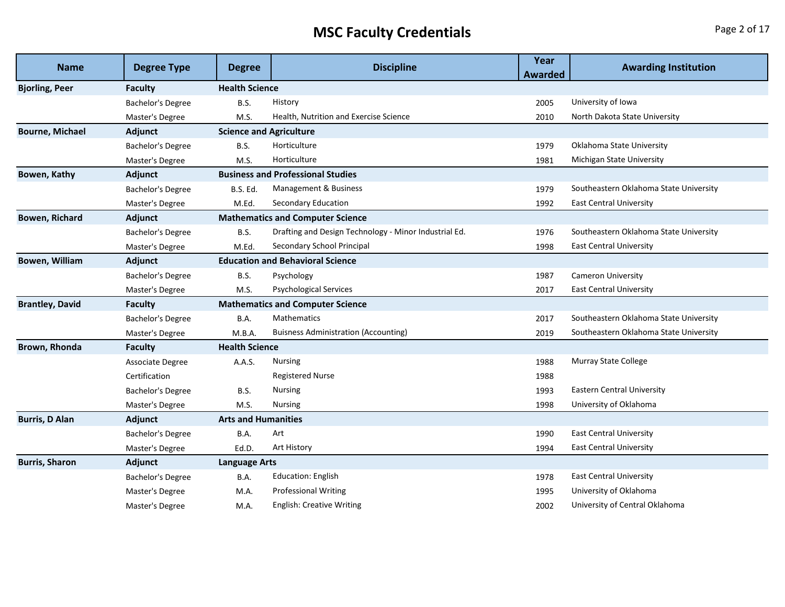## **MSC Faculty Credentials Page 2 of 17**

| <b>Name</b>            | <b>Degree Type</b>       | <b>Degree</b>                  | <b>Discipline</b>                                     | Year           | <b>Awarding Institution</b>            |
|------------------------|--------------------------|--------------------------------|-------------------------------------------------------|----------------|----------------------------------------|
|                        |                          |                                |                                                       | <b>Awarded</b> |                                        |
| <b>Bjorling, Peer</b>  | Faculty                  | <b>Health Science</b>          |                                                       |                |                                        |
|                        | Bachelor's Degree        | <b>B.S.</b>                    | History                                               | 2005           | University of Iowa                     |
|                        | Master's Degree          | M.S.                           | Health, Nutrition and Exercise Science                | 2010           | North Dakota State University          |
| <b>Bourne, Michael</b> | Adjunct                  | <b>Science and Agriculture</b> |                                                       |                |                                        |
|                        | <b>Bachelor's Degree</b> | <b>B.S.</b>                    | Horticulture                                          | 1979           | Oklahoma State University              |
|                        | Master's Degree          | M.S.                           | Horticulture                                          | 1981           | Michigan State University              |
| Bowen, Kathy           | Adjunct                  |                                | <b>Business and Professional Studies</b>              |                |                                        |
|                        | <b>Bachelor's Degree</b> | <b>B.S. Ed.</b>                | Management & Business                                 | 1979           | Southeastern Oklahoma State University |
|                        | Master's Degree          | M.Ed.                          | Secondary Education                                   | 1992           | <b>East Central University</b>         |
| <b>Bowen, Richard</b>  | <b>Adjunct</b>           |                                | <b>Mathematics and Computer Science</b>               |                |                                        |
|                        | <b>Bachelor's Degree</b> | <b>B.S.</b>                    | Drafting and Design Technology - Minor Industrial Ed. | 1976           | Southeastern Oklahoma State University |
|                        | Master's Degree          | M.Ed.                          | Secondary School Principal                            | 1998           | <b>East Central University</b>         |
| Bowen, William         | Adjunct                  |                                | <b>Education and Behavioral Science</b>               |                |                                        |
|                        | Bachelor's Degree        | <b>B.S.</b>                    | Psychology                                            | 1987           | <b>Cameron University</b>              |
|                        | Master's Degree          | M.S.                           | <b>Psychological Services</b>                         | 2017           | <b>East Central University</b>         |
| <b>Brantley, David</b> | <b>Faculty</b>           |                                | <b>Mathematics and Computer Science</b>               |                |                                        |
|                        | Bachelor's Degree        | B.A.                           | <b>Mathematics</b>                                    | 2017           | Southeastern Oklahoma State University |
|                        | Master's Degree          | M.B.A.                         | <b>Buisness Administration (Accounting)</b>           | 2019           | Southeastern Oklahoma State University |
| Brown, Rhonda          | <b>Faculty</b>           | <b>Health Science</b>          |                                                       |                |                                        |
|                        | Associate Degree         | A.A.S.                         | <b>Nursing</b>                                        | 1988           | Murray State College                   |
|                        | Certification            |                                | <b>Registered Nurse</b>                               | 1988           |                                        |
|                        | Bachelor's Degree        | <b>B.S.</b>                    | <b>Nursing</b>                                        | 1993           | <b>Eastern Central University</b>      |
|                        | Master's Degree          | M.S.                           | <b>Nursing</b>                                        | 1998           | University of Oklahoma                 |
| <b>Burris, D Alan</b>  | <b>Adjunct</b>           | <b>Arts and Humanities</b>     |                                                       |                |                                        |
|                        | Bachelor's Degree        | B.A.                           | Art                                                   | 1990           | <b>East Central University</b>         |
|                        | Master's Degree          | Ed.D.                          | Art History                                           | 1994           | <b>East Central University</b>         |
| <b>Burris, Sharon</b>  | Adjunct                  | <b>Language Arts</b>           |                                                       |                |                                        |
|                        | <b>Bachelor's Degree</b> | B.A.                           | <b>Education: English</b>                             | 1978           | <b>East Central University</b>         |
|                        | Master's Degree          | M.A.                           | <b>Professional Writing</b>                           | 1995           | University of Oklahoma                 |
|                        | Master's Degree          | M.A.                           | <b>English: Creative Writing</b>                      | 2002           | University of Central Oklahoma         |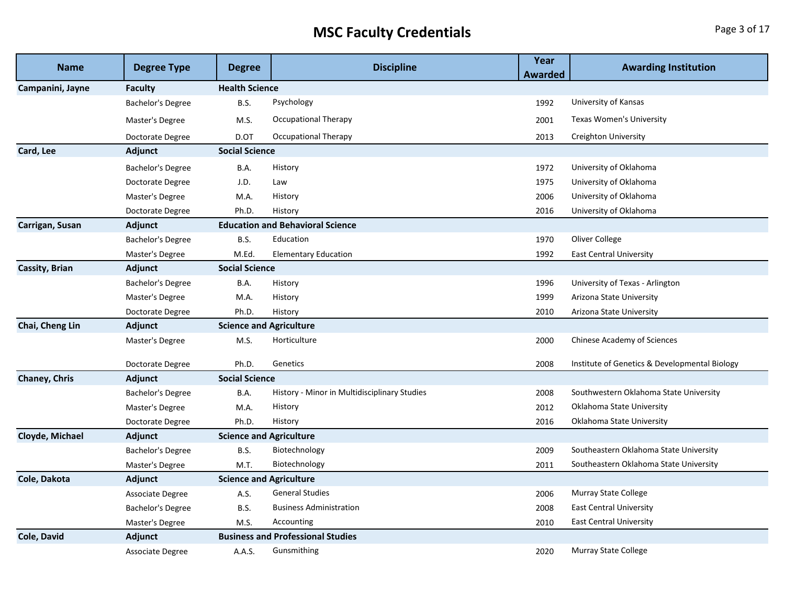## **MSC Faculty Credentials Page 3 of 17**

| <b>Name</b>           | <b>Degree Type</b>       | <b>Degree</b>                  | <b>Discipline</b>                            | Year<br>Awarded | <b>Awarding Institution</b>                   |
|-----------------------|--------------------------|--------------------------------|----------------------------------------------|-----------------|-----------------------------------------------|
| Campanini, Jayne      | Faculty                  | <b>Health Science</b>          |                                              |                 |                                               |
|                       | <b>Bachelor's Degree</b> | <b>B.S.</b>                    | Psychology                                   | 1992            | University of Kansas                          |
|                       | Master's Degree          | M.S.                           | Occupational Therapy                         | 2001            | <b>Texas Women's University</b>               |
|                       | Doctorate Degree         | D.OT                           | Occupational Therapy                         | 2013            | Creighton University                          |
| Card, Lee             | Adjunct                  | <b>Social Science</b>          |                                              |                 |                                               |
|                       | Bachelor's Degree        | B.A.                           | History                                      | 1972            | University of Oklahoma                        |
|                       | Doctorate Degree         | J.D.                           | Law                                          | 1975            | University of Oklahoma                        |
|                       | Master's Degree          | M.A.                           | History                                      | 2006            | University of Oklahoma                        |
|                       | Doctorate Degree         | Ph.D.                          | History                                      | 2016            | University of Oklahoma                        |
| Carrigan, Susan       | Adjunct                  |                                | <b>Education and Behavioral Science</b>      |                 |                                               |
|                       | Bachelor's Degree        | <b>B.S.</b>                    | Education                                    | 1970            | Oliver College                                |
|                       | Master's Degree          | M.Ed.                          | <b>Elementary Education</b>                  | 1992            | <b>East Central University</b>                |
| <b>Cassity, Brian</b> | Adjunct                  | <b>Social Science</b>          |                                              |                 |                                               |
|                       | <b>Bachelor's Degree</b> | B.A.                           | History                                      | 1996            | University of Texas - Arlington               |
|                       | Master's Degree          | M.A.                           | History                                      | 1999            | Arizona State University                      |
|                       | Doctorate Degree         | Ph.D.                          | History                                      | 2010            | Arizona State University                      |
| Chai, Cheng Lin       | Adjunct                  | <b>Science and Agriculture</b> |                                              |                 |                                               |
|                       | Master's Degree          | M.S.                           | Horticulture                                 | 2000            | Chinese Academy of Sciences                   |
|                       | Doctorate Degree         | Ph.D.                          | Genetics                                     | 2008            | Institute of Genetics & Developmental Biology |
| Chaney, Chris         | Adjunct                  | <b>Social Science</b>          |                                              |                 |                                               |
|                       | <b>Bachelor's Degree</b> | <b>B.A.</b>                    | History - Minor in Multidisciplinary Studies | 2008            | Southwestern Oklahoma State University        |
|                       | Master's Degree          | M.A.                           | History                                      | 2012            | Oklahoma State University                     |
|                       | Doctorate Degree         | Ph.D.                          | History                                      | 2016            | Oklahoma State University                     |
| Cloyde, Michael       | Adjunct                  | <b>Science and Agriculture</b> |                                              |                 |                                               |
|                       | Bachelor's Degree        | <b>B.S.</b>                    | Biotechnology                                | 2009            | Southeastern Oklahoma State University        |
|                       | Master's Degree          | M.T.                           | Biotechnology                                | 2011            | Southeastern Oklahoma State University        |
| Cole, Dakota          | Adjunct                  | <b>Science and Agriculture</b> |                                              |                 |                                               |
|                       | Associate Degree         | A.S.                           | <b>General Studies</b>                       | 2006            | Murray State College                          |
|                       | Bachelor's Degree        | <b>B.S.</b>                    | <b>Business Administration</b>               | 2008            | <b>East Central University</b>                |
|                       | Master's Degree          | M.S.                           | Accounting                                   | 2010            | <b>East Central University</b>                |
| Cole, David           | Adjunct                  |                                | <b>Business and Professional Studies</b>     |                 |                                               |
|                       | Associate Degree         | A.A.S.                         | Gunsmithing                                  | 2020            | Murray State College                          |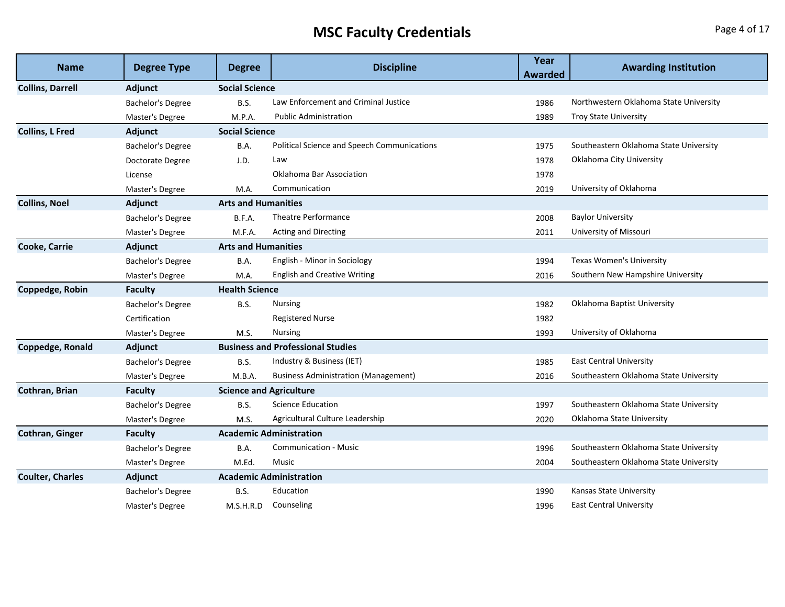## **MSC Faculty Credentials Page 4 of 17**

| <b>Name</b>             |                          | <b>Discipline</b>              | Year                                               | <b>Awarding Institution</b> |                                        |
|-------------------------|--------------------------|--------------------------------|----------------------------------------------------|-----------------------------|----------------------------------------|
|                         | <b>Degree Type</b>       | <b>Degree</b>                  |                                                    | <b>Awarded</b>              |                                        |
| <b>Collins, Darrell</b> | <b>Adjunct</b>           | <b>Social Science</b>          |                                                    |                             |                                        |
|                         | Bachelor's Degree        | <b>B.S.</b>                    | Law Enforcement and Criminal Justice               | 1986                        | Northwestern Oklahoma State University |
|                         | Master's Degree          | M.P.A.                         | <b>Public Administration</b>                       | 1989                        | <b>Troy State University</b>           |
| <b>Collins, L Fred</b>  | Adjunct                  | <b>Social Science</b>          |                                                    |                             |                                        |
|                         | Bachelor's Degree        | B.A.                           | <b>Political Science and Speech Communications</b> | 1975                        | Southeastern Oklahoma State University |
|                         | Doctorate Degree         | J.D.                           | Law                                                | 1978                        | Oklahoma City University               |
|                         | License                  |                                | Oklahoma Bar Association                           | 1978                        |                                        |
|                         | Master's Degree          | M.A.                           | Communication                                      | 2019                        | University of Oklahoma                 |
| <b>Collins, Noel</b>    | Adjunct                  | <b>Arts and Humanities</b>     |                                                    |                             |                                        |
|                         | Bachelor's Degree        | B.F.A.                         | Theatre Performance                                | 2008                        | <b>Baylor University</b>               |
|                         | Master's Degree          | M.F.A.                         | <b>Acting and Directing</b>                        | 2011                        | University of Missouri                 |
| <b>Cooke, Carrie</b>    | Adjunct                  | <b>Arts and Humanities</b>     |                                                    |                             |                                        |
|                         | Bachelor's Degree        | B.A.                           | English - Minor in Sociology                       | 1994                        | Texas Women's University               |
|                         | Master's Degree          | M.A.                           | <b>English and Creative Writing</b>                | 2016                        | Southern New Hampshire University      |
| Coppedge, Robin         | <b>Faculty</b>           | <b>Health Science</b>          |                                                    |                             |                                        |
|                         | Bachelor's Degree        | <b>B.S.</b>                    | Nursing                                            | 1982                        | Oklahoma Baptist University            |
|                         | Certification            |                                | <b>Registered Nurse</b>                            | 1982                        |                                        |
|                         | Master's Degree          | M.S.                           | <b>Nursing</b>                                     | 1993                        | University of Oklahoma                 |
| <b>Coppedge, Ronald</b> | Adjunct                  |                                | <b>Business and Professional Studies</b>           |                             |                                        |
|                         | Bachelor's Degree        | <b>B.S.</b>                    | Industry & Business (IET)                          | 1985                        | <b>East Central University</b>         |
|                         | Master's Degree          | M.B.A.                         | <b>Business Administration (Management)</b>        | 2016                        | Southeastern Oklahoma State University |
| Cothran, Brian          | <b>Faculty</b>           | <b>Science and Agriculture</b> |                                                    |                             |                                        |
|                         | Bachelor's Degree        | B.S.                           | <b>Science Education</b>                           | 1997                        | Southeastern Oklahoma State University |
|                         | Master's Degree          | M.S.                           | Agricultural Culture Leadership                    | 2020                        | Oklahoma State University              |
| Cothran, Ginger         | <b>Faculty</b>           |                                | <b>Academic Administration</b>                     |                             |                                        |
|                         | <b>Bachelor's Degree</b> | B.A.                           | <b>Communication - Music</b>                       | 1996                        | Southeastern Oklahoma State University |
|                         | Master's Degree          | M.Ed.                          | Music                                              | 2004                        | Southeastern Oklahoma State University |
| <b>Coulter, Charles</b> | Adjunct                  |                                | <b>Academic Administration</b>                     |                             |                                        |
|                         | Bachelor's Degree        | B.S.                           | Education                                          | 1990                        | Kansas State University                |
|                         | Master's Degree          | M.S.H.R.D                      | Counseling                                         | 1996                        | <b>East Central University</b>         |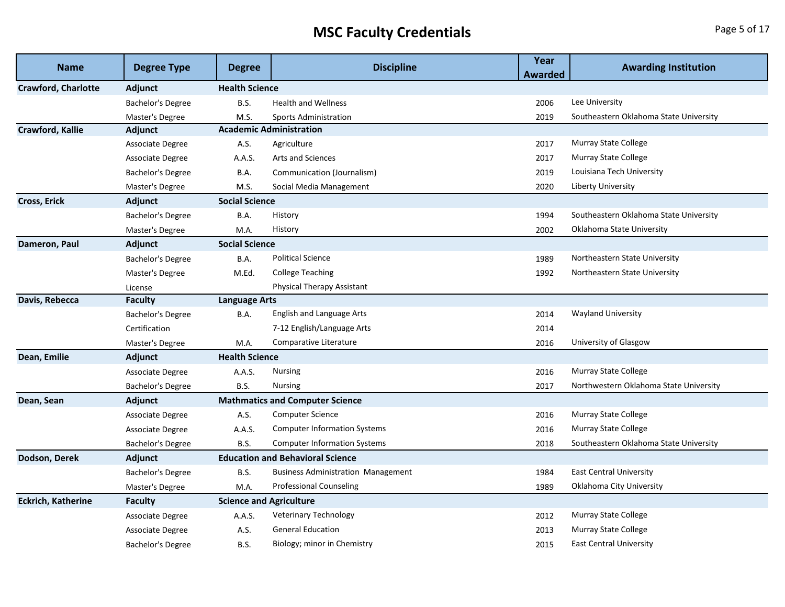## **MSC Faculty Credentials Page 5 of 17**

| <b>Name</b>                | <b>Degree Type</b>       | <b>Degree</b>                  | <b>Discipline</b>                         | Year<br><b>Awarded</b> | <b>Awarding Institution</b>            |
|----------------------------|--------------------------|--------------------------------|-------------------------------------------|------------------------|----------------------------------------|
| <b>Crawford, Charlotte</b> | Adjunct                  | <b>Health Science</b>          |                                           |                        |                                        |
|                            | <b>Bachelor's Degree</b> | B.S.                           | <b>Health and Wellness</b>                | 2006                   | Lee University                         |
|                            | Master's Degree          | M.S.                           | <b>Sports Administration</b>              | 2019                   | Southeastern Oklahoma State University |
| <b>Crawford, Kallie</b>    | <b>Adjunct</b>           |                                | <b>Academic Administration</b>            |                        |                                        |
|                            | Associate Degree         | A.S.                           | Agriculture                               | 2017                   | Murray State College                   |
|                            | Associate Degree         | A.A.S.                         | <b>Arts and Sciences</b>                  | 2017                   | <b>Murray State College</b>            |
|                            | <b>Bachelor's Degree</b> | B.A.                           | Communication (Journalism)                | 2019                   | Louisiana Tech University              |
|                            | Master's Degree          | M.S.                           | Social Media Management                   | 2020                   | <b>Liberty University</b>              |
| <b>Cross, Erick</b>        | <b>Adjunct</b>           | <b>Social Science</b>          |                                           |                        |                                        |
|                            | <b>Bachelor's Degree</b> | B.A.                           | History                                   | 1994                   | Southeastern Oklahoma State University |
|                            | Master's Degree          | M.A.                           | History                                   | 2002                   | Oklahoma State University              |
| Dameron, Paul              | <b>Adjunct</b>           | <b>Social Science</b>          |                                           |                        |                                        |
|                            | <b>Bachelor's Degree</b> | <b>B.A.</b>                    | <b>Political Science</b>                  | 1989                   | Northeastern State University          |
|                            | Master's Degree          | M.Ed.                          | <b>College Teaching</b>                   | 1992                   | Northeastern State University          |
|                            | License                  |                                | <b>Physical Therapy Assistant</b>         |                        |                                        |
| Davis, Rebecca             | <b>Faculty</b>           | <b>Language Arts</b>           |                                           |                        |                                        |
|                            | Bachelor's Degree        | B.A.                           | English and Language Arts                 | 2014                   | <b>Wayland University</b>              |
|                            | Certification            |                                | 7-12 English/Language Arts                | 2014                   |                                        |
|                            | Master's Degree          | M.A.                           | Comparative Literature                    | 2016                   | University of Glasgow                  |
| Dean, Emilie               | Adjunct                  | <b>Health Science</b>          |                                           |                        |                                        |
|                            | Associate Degree         | A.A.S.                         | <b>Nursing</b>                            | 2016                   | <b>Murray State College</b>            |
|                            | Bachelor's Degree        | <b>B.S.</b>                    | <b>Nursing</b>                            | 2017                   | Northwestern Oklahoma State University |
| Dean, Sean                 | Adjunct                  |                                | <b>Mathmatics and Computer Science</b>    |                        |                                        |
|                            | Associate Degree         | A.S.                           | <b>Computer Science</b>                   | 2016                   | <b>Murray State College</b>            |
|                            | Associate Degree         | A.A.S.                         | <b>Computer Information Systems</b>       | 2016                   | <b>Murray State College</b>            |
|                            | Bachelor's Degree        | <b>B.S.</b>                    | <b>Computer Information Systems</b>       | 2018                   | Southeastern Oklahoma State University |
| Dodson, Derek              | <b>Adjunct</b>           |                                | <b>Education and Behavioral Science</b>   |                        |                                        |
|                            | Bachelor's Degree        | <b>B.S.</b>                    | <b>Business Administration Management</b> | 1984                   | <b>East Central University</b>         |
|                            | Master's Degree          | M.A.                           | Professional Counseling                   | 1989                   | Oklahoma City University               |
| <b>Eckrich, Katherine</b>  | <b>Faculty</b>           | <b>Science and Agriculture</b> |                                           |                        |                                        |
|                            | Associate Degree         | A.A.S.                         | Veterinary Technology                     | 2012                   | Murray State College                   |
|                            | Associate Degree         | A.S.                           | <b>General Education</b>                  | 2013                   | Murray State College                   |
|                            | <b>Bachelor's Degree</b> | <b>B.S.</b>                    | Biology; minor in Chemistry               | 2015                   | <b>East Central University</b>         |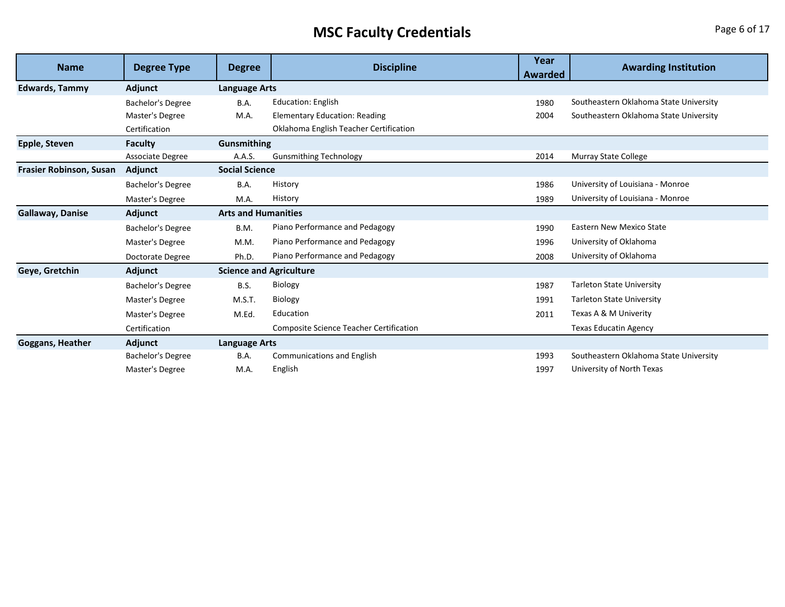## **MSC Faculty Credentials Page 6 of 17**

| <b>Name</b>                    | <b>Degree Type</b>       | <b>Discipline</b><br><b>Degree</b> | Year                                           | <b>Awarding Institution</b> |                                        |  |  |  |
|--------------------------------|--------------------------|------------------------------------|------------------------------------------------|-----------------------------|----------------------------------------|--|--|--|
|                                |                          |                                    |                                                | Awarded                     |                                        |  |  |  |
| <b>Edwards, Tammy</b>          | Adjunct                  | <b>Language Arts</b>               |                                                |                             |                                        |  |  |  |
|                                | Bachelor's Degree        | B.A.                               | <b>Education: English</b>                      | 1980                        | Southeastern Oklahoma State University |  |  |  |
|                                | Master's Degree          | M.A.                               | <b>Elementary Education: Reading</b>           | 2004                        | Southeastern Oklahoma State University |  |  |  |
|                                | Certification            |                                    | Oklahoma English Teacher Certification         |                             |                                        |  |  |  |
| Epple, Steven                  | <b>Faculty</b>           | Gunsmithing                        |                                                |                             |                                        |  |  |  |
|                                | Associate Degree         | A.A.S.                             | <b>Gunsmithing Technology</b>                  | 2014                        | <b>Murray State College</b>            |  |  |  |
| <b>Frasier Robinson, Susan</b> | Adjunct                  | <b>Social Science</b>              |                                                |                             |                                        |  |  |  |
|                                | <b>Bachelor's Degree</b> | B.A.                               | History                                        | 1986                        | University of Louisiana - Monroe       |  |  |  |
|                                | Master's Degree          | M.A.                               | History                                        | 1989                        | University of Louisiana - Monroe       |  |  |  |
| <b>Gallaway, Danise</b>        | Adjunct                  | <b>Arts and Humanities</b>         |                                                |                             |                                        |  |  |  |
|                                | <b>Bachelor's Degree</b> | B.M.                               | Piano Performance and Pedagogy                 | 1990                        | <b>Eastern New Mexico State</b>        |  |  |  |
|                                | Master's Degree          | M.M.                               | Piano Performance and Pedagogy                 | 1996                        | University of Oklahoma                 |  |  |  |
|                                | Doctorate Degree         | Ph.D.                              | Piano Performance and Pedagogy                 | 2008                        | University of Oklahoma                 |  |  |  |
| Geye, Gretchin                 | Adjunct                  | <b>Science and Agriculture</b>     |                                                |                             |                                        |  |  |  |
|                                | <b>Bachelor's Degree</b> | <b>B.S.</b>                        | Biology                                        | 1987                        | <b>Tarleton State University</b>       |  |  |  |
|                                | Master's Degree          | M.S.T.                             | Biology                                        | 1991                        | <b>Tarleton State University</b>       |  |  |  |
|                                | Master's Degree          | M.Ed.                              | Education                                      | 2011                        | Texas A & M Univerity                  |  |  |  |
|                                | Certification            |                                    | <b>Composite Science Teacher Certification</b> |                             | <b>Texas Educatin Agency</b>           |  |  |  |
| <b>Goggans, Heather</b>        | Adjunct                  | <b>Language Arts</b>               |                                                |                             |                                        |  |  |  |
|                                | Bachelor's Degree        | B.A.                               | <b>Communications and English</b>              | 1993                        | Southeastern Oklahoma State University |  |  |  |
|                                | Master's Degree          | M.A.                               | English                                        | 1997                        | University of North Texas              |  |  |  |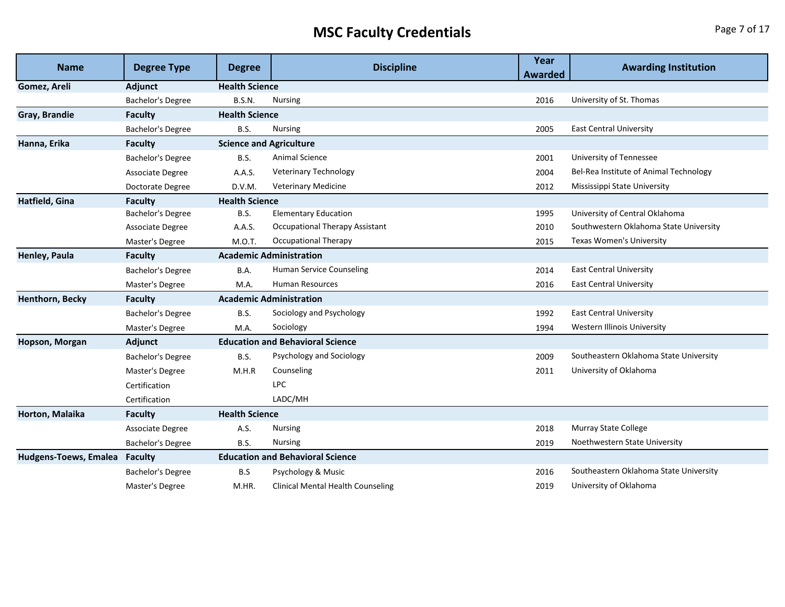## **MSC Faculty Credentials Page 7 of 17**

| <b>Name</b>           | <b>Degree Type</b>       | <b>Degree</b>                  | <b>Discipline</b>                        | Year<br><b>Awarded</b> | <b>Awarding Institution</b>            |
|-----------------------|--------------------------|--------------------------------|------------------------------------------|------------------------|----------------------------------------|
| Gomez, Areli          | Adjunct                  | <b>Health Science</b>          |                                          |                        |                                        |
|                       | <b>Bachelor's Degree</b> | <b>B.S.N.</b>                  | <b>Nursing</b>                           | 2016                   | University of St. Thomas               |
| Gray, Brandie         | <b>Faculty</b>           | <b>Health Science</b>          |                                          |                        |                                        |
|                       | Bachelor's Degree        | <b>B.S.</b>                    | Nursing                                  | 2005                   | <b>East Central University</b>         |
| Hanna, Erika          | <b>Faculty</b>           | <b>Science and Agriculture</b> |                                          |                        |                                        |
|                       | Bachelor's Degree        | <b>B.S.</b>                    | Animal Science                           | 2001                   | University of Tennessee                |
|                       | Associate Degree         | A.A.S.                         | <b>Veterinary Technology</b>             | 2004                   | Bel-Rea Institute of Animal Technology |
|                       | Doctorate Degree         | D.V.M.                         | <b>Veterinary Medicine</b>               | 2012                   | Mississippi State University           |
| Hatfield, Gina        | Faculty                  | <b>Health Science</b>          |                                          |                        |                                        |
|                       | Bachelor's Degree        | <b>B.S.</b>                    | <b>Elementary Education</b>              | 1995                   | University of Central Oklahoma         |
|                       | Associate Degree         | A.A.S.                         | <b>Occupational Therapy Assistant</b>    | 2010                   | Southwestern Oklahoma State University |
|                       | Master's Degree          | M.O.T.                         | <b>Occupational Therapy</b>              | 2015                   | Texas Women's University               |
| Henley, Paula         | <b>Faculty</b>           |                                | <b>Academic Administration</b>           |                        |                                        |
|                       | Bachelor's Degree        | B.A.                           | Human Service Counseling                 | 2014                   | <b>East Central University</b>         |
|                       | Master's Degree          | M.A.                           | <b>Human Resources</b>                   | 2016                   | <b>East Central University</b>         |
| Henthorn, Becky       | <b>Faculty</b>           |                                | <b>Academic Administration</b>           |                        |                                        |
|                       | Bachelor's Degree        | <b>B.S.</b>                    | Sociology and Psychology                 | 1992                   | <b>East Central University</b>         |
|                       | Master's Degree          | M.A.                           | Sociology                                | 1994                   | Western Illinois University            |
| Hopson, Morgan        | Adjunct                  |                                | <b>Education and Behavioral Science</b>  |                        |                                        |
|                       | Bachelor's Degree        | <b>B.S.</b>                    | Psychology and Sociology                 | 2009                   | Southeastern Oklahoma State University |
|                       | Master's Degree          | M.H.R                          | Counseling                               | 2011                   | University of Oklahoma                 |
|                       | Certification            |                                | <b>LPC</b>                               |                        |                                        |
|                       | Certification            |                                | LADC/MH                                  |                        |                                        |
| Horton, Malaika       | <b>Faculty</b>           | <b>Health Science</b>          |                                          |                        |                                        |
|                       | Associate Degree         | A.S.                           | <b>Nursing</b>                           | 2018                   | <b>Murray State College</b>            |
|                       | <b>Bachelor's Degree</b> | <b>B.S.</b>                    | Nursing                                  | 2019                   | Noethwestern State University          |
| Hudgens-Toews, Emalea | <b>Faculty</b>           |                                | <b>Education and Behavioral Science</b>  |                        |                                        |
|                       | Bachelor's Degree        | B.S                            | Psychology & Music                       | 2016                   | Southeastern Oklahoma State University |
|                       | Master's Degree          | M.HR.                          | <b>Clinical Mental Health Counseling</b> | 2019                   | University of Oklahoma                 |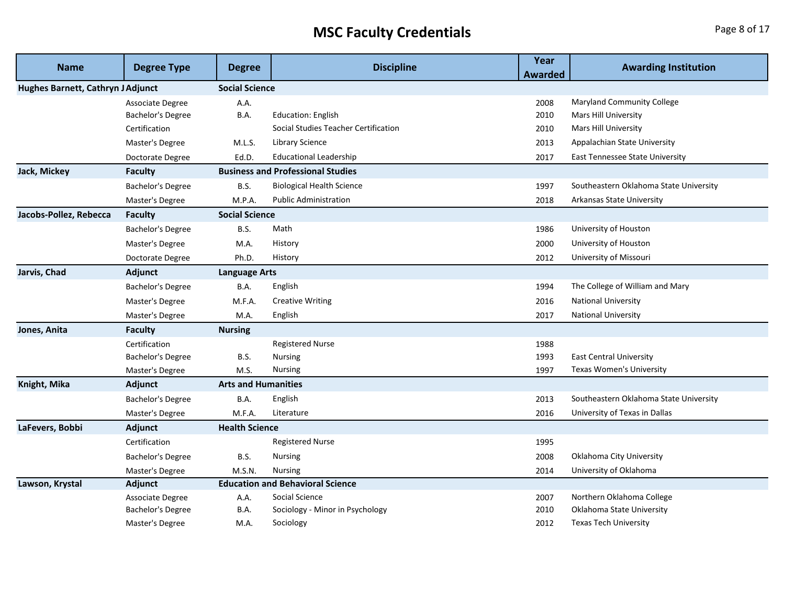# **MSC Faculty Credentials Page 8 of 17**

| <b>Name</b>                       | <b>Degree Type</b> | <b>Degree</b>              | <b>Discipline</b>                        | Year           | <b>Awarding Institution</b>            |
|-----------------------------------|--------------------|----------------------------|------------------------------------------|----------------|----------------------------------------|
|                                   |                    |                            |                                          | <b>Awarded</b> |                                        |
| Hughes Barnett, Cathryn J Adjunct |                    | <b>Social Science</b>      |                                          |                |                                        |
|                                   | Associate Degree   | A.A.                       |                                          | 2008           | <b>Maryland Community College</b>      |
|                                   | Bachelor's Degree  | <b>B.A.</b>                | <b>Education: English</b>                | 2010           | Mars Hill University                   |
|                                   | Certification      |                            | Social Studies Teacher Certification     | 2010           | Mars Hill University                   |
|                                   | Master's Degree    | M.L.S.                     | <b>Library Science</b>                   | 2013           | Appalachian State University           |
|                                   | Doctorate Degree   | Ed.D.                      | <b>Educational Leadership</b>            | 2017           | <b>East Tennessee State University</b> |
| Jack, Mickey                      | <b>Faculty</b>     |                            | <b>Business and Professional Studies</b> |                |                                        |
|                                   | Bachelor's Degree  | <b>B.S.</b>                | <b>Biological Health Science</b>         | 1997           | Southeastern Oklahoma State University |
|                                   | Master's Degree    | M.P.A.                     | <b>Public Administration</b>             | 2018           | <b>Arkansas State University</b>       |
| Jacobs-Pollez, Rebecca            | <b>Faculty</b>     | <b>Social Science</b>      |                                          |                |                                        |
|                                   | Bachelor's Degree  | B.S.                       | Math                                     | 1986           | University of Houston                  |
|                                   | Master's Degree    | M.A.                       | History                                  | 2000           | University of Houston                  |
|                                   | Doctorate Degree   | Ph.D.                      | History                                  | 2012           | University of Missouri                 |
| Jarvis, Chad                      | Adjunct            | <b>Language Arts</b>       |                                          |                |                                        |
|                                   | Bachelor's Degree  | B.A.                       | English                                  | 1994           | The College of William and Mary        |
|                                   | Master's Degree    | M.F.A.                     | <b>Creative Writing</b>                  | 2016           | <b>National University</b>             |
|                                   | Master's Degree    | M.A.                       | English                                  | 2017           | <b>National University</b>             |
| Jones, Anita                      | <b>Faculty</b>     | <b>Nursing</b>             |                                          |                |                                        |
|                                   | Certification      |                            | <b>Registered Nurse</b>                  | 1988           |                                        |
|                                   | Bachelor's Degree  | <b>B.S.</b>                | <b>Nursing</b>                           | 1993           | <b>East Central University</b>         |
|                                   | Master's Degree    | M.S.                       | <b>Nursing</b>                           | 1997           | Texas Women's University               |
| Knight, Mika                      | Adjunct            | <b>Arts and Humanities</b> |                                          |                |                                        |
|                                   | Bachelor's Degree  | B.A.                       | English                                  | 2013           | Southeastern Oklahoma State University |
|                                   | Master's Degree    | M.F.A.                     | Literature                               | 2016           | University of Texas in Dallas          |
| LaFevers, Bobbi                   | Adjunct            | <b>Health Science</b>      |                                          |                |                                        |
|                                   | Certification      |                            | <b>Registered Nurse</b>                  | 1995           |                                        |
|                                   | Bachelor's Degree  | <b>B.S.</b>                | <b>Nursing</b>                           | 2008           | Oklahoma City University               |
|                                   | Master's Degree    | M.S.N.                     | <b>Nursing</b>                           | 2014           | University of Oklahoma                 |
| Lawson, Krystal                   | Adjunct            |                            | <b>Education and Behavioral Science</b>  |                |                                        |
|                                   | Associate Degree   | A.A.                       | Social Science                           | 2007           | Northern Oklahoma College              |
|                                   | Bachelor's Degree  | B.A.                       | Sociology - Minor in Psychology          | 2010           | Oklahoma State University              |
|                                   | Master's Degree    | M.A.                       | Sociology                                | 2012           | <b>Texas Tech University</b>           |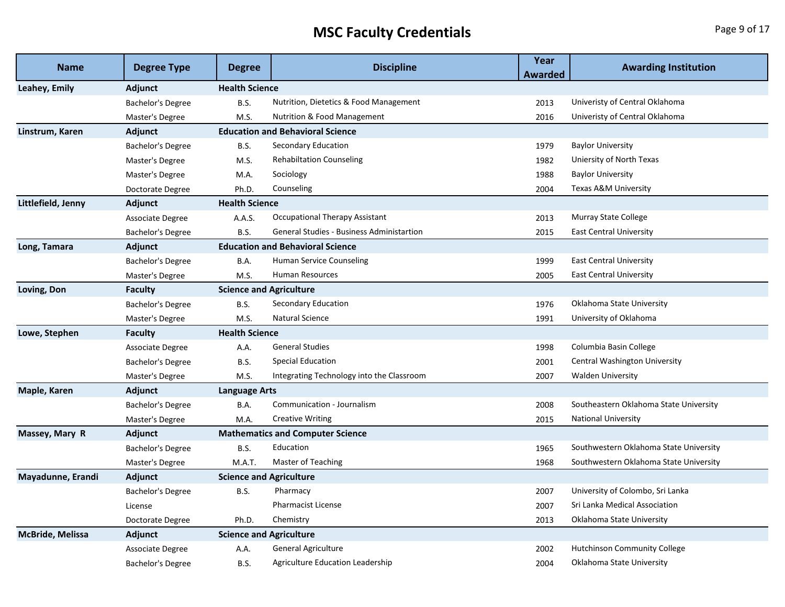## **MSC Faculty Credentials Page 9 of 17**

| <b>Name</b>             | <b>Degree Type</b>       | <b>Degree</b>                  | <b>Discipline</b>                         | Year<br>Awarded | <b>Awarding Institution</b>            |
|-------------------------|--------------------------|--------------------------------|-------------------------------------------|-----------------|----------------------------------------|
| Leahey, Emily           | Adjunct                  | <b>Health Science</b>          |                                           |                 |                                        |
|                         | <b>Bachelor's Degree</b> | <b>B.S.</b>                    | Nutrition, Dietetics & Food Management    | 2013            | Univeristy of Central Oklahoma         |
|                         | Master's Degree          | M.S.                           | Nutrition & Food Management               | 2016            | Univeristy of Central Oklahoma         |
| Linstrum, Karen         | <b>Adjunct</b>           |                                | <b>Education and Behavioral Science</b>   |                 |                                        |
|                         | Bachelor's Degree        | <b>B.S.</b>                    | Secondary Education                       | 1979            | <b>Baylor University</b>               |
|                         | Master's Degree          | M.S.                           | <b>Rehabiltation Counseling</b>           | 1982            | Uniersity of North Texas               |
|                         | Master's Degree          | M.A.                           | Sociology                                 | 1988            | <b>Baylor University</b>               |
|                         | Doctorate Degree         | Ph.D.                          | Counseling                                | 2004            | Texas A&M University                   |
| Littlefield, Jenny      | <b>Adjunct</b>           | <b>Health Science</b>          |                                           |                 |                                        |
|                         | <b>Associate Degree</b>  | A.A.S.                         | Occupational Therapy Assistant            | 2013            | Murray State College                   |
|                         | Bachelor's Degree        | <b>B.S.</b>                    | General Studies - Business Administartion | 2015            | <b>East Central University</b>         |
| Long, Tamara            | <b>Adjunct</b>           |                                | <b>Education and Behavioral Science</b>   |                 |                                        |
|                         | Bachelor's Degree        | B.A.                           | Human Service Counseling                  | 1999            | <b>East Central University</b>         |
|                         | Master's Degree          | M.S.                           | <b>Human Resources</b>                    | 2005            | <b>East Central University</b>         |
| Loving, Don             | <b>Faculty</b>           | <b>Science and Agriculture</b> |                                           |                 |                                        |
|                         | <b>Bachelor's Degree</b> | B.S.                           | Secondary Education                       | 1976            | Oklahoma State University              |
|                         | Master's Degree          | M.S.                           | <b>Natural Science</b>                    | 1991            | University of Oklahoma                 |
| Lowe, Stephen           | <b>Faculty</b>           | <b>Health Science</b>          |                                           |                 |                                        |
|                         | <b>Associate Degree</b>  | A.A.                           | <b>General Studies</b>                    | 1998            | Columbia Basin College                 |
|                         | Bachelor's Degree        | <b>B.S.</b>                    | <b>Special Education</b>                  | 2001            | Central Washington University          |
|                         | Master's Degree          | M.S.                           | Integrating Technology into the Classroom | 2007            | <b>Walden University</b>               |
| Maple, Karen            | <b>Adjunct</b>           | Language Arts                  |                                           |                 |                                        |
|                         | <b>Bachelor's Degree</b> | B.A.                           | Communication - Journalism                | 2008            | Southeastern Oklahoma State University |
|                         | Master's Degree          | M.A.                           | <b>Creative Writing</b>                   | 2015            | <b>National University</b>             |
| Massey, Mary R          | <b>Adjunct</b>           |                                | <b>Mathematics and Computer Science</b>   |                 |                                        |
|                         | Bachelor's Degree        | <b>B.S.</b>                    | Education                                 | 1965            | Southwestern Oklahoma State University |
|                         | Master's Degree          | M.A.T.                         | Master of Teaching                        | 1968            | Southwestern Oklahoma State University |
| Mayadunne, Erandi       | Adjunct                  | <b>Science and Agriculture</b> |                                           |                 |                                        |
|                         | Bachelor's Degree        | B.S.                           | Pharmacy                                  | 2007            | University of Colombo, Sri Lanka       |
|                         | License                  |                                | <b>Pharmacist License</b>                 | 2007            | Sri Lanka Medical Association          |
|                         | Doctorate Degree         | Ph.D.                          | Chemistry                                 | 2013            | Oklahoma State University              |
| <b>McBride, Melissa</b> | Adjunct                  | <b>Science and Agriculture</b> |                                           |                 |                                        |
|                         | Associate Degree         | A.A.                           | General Agriculture                       | 2002            | <b>Hutchinson Community College</b>    |
|                         | Bachelor's Degree        | <b>B.S.</b>                    | Agriculture Education Leadership          | 2004            | Oklahoma State University              |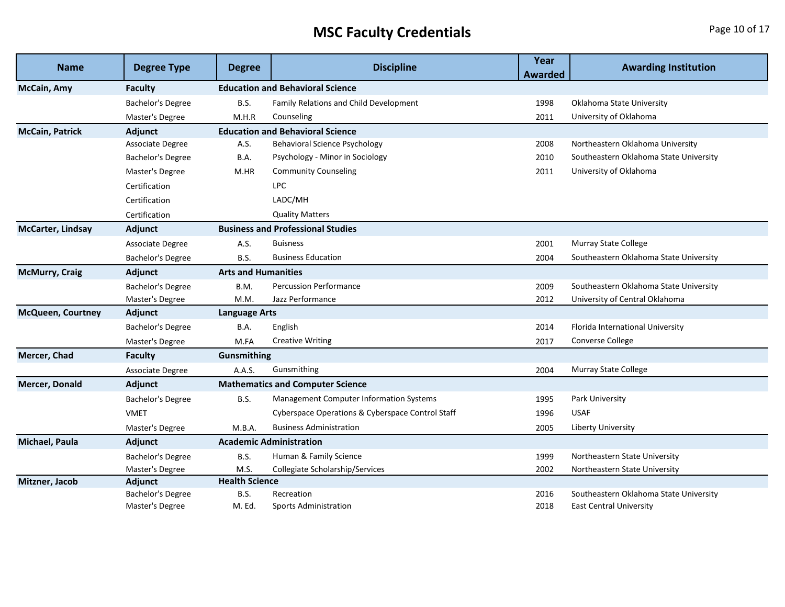# **MSC Faculty Credentials Page 10 of 17**

| <b>Name</b>              | <b>Degree Type</b>       | <b>Degree</b>              | <b>Discipline</b>                                | Year           | <b>Awarding Institution</b>            |
|--------------------------|--------------------------|----------------------------|--------------------------------------------------|----------------|----------------------------------------|
|                          |                          |                            |                                                  | <b>Awarded</b> |                                        |
| McCain, Amy              | <b>Faculty</b>           |                            | <b>Education and Behavioral Science</b>          |                |                                        |
|                          | Bachelor's Degree        | B.S.                       | Family Relations and Child Development           | 1998           | Oklahoma State University              |
|                          | Master's Degree          | M.H.R                      | Counseling                                       | 2011           | University of Oklahoma                 |
| <b>McCain, Patrick</b>   | Adjunct                  |                            | <b>Education and Behavioral Science</b>          |                |                                        |
|                          | Associate Degree         | A.S.                       | <b>Behavioral Science Psychology</b>             | 2008           | Northeastern Oklahoma University       |
|                          | Bachelor's Degree        | B.A.                       | Psychology - Minor in Sociology                  | 2010           | Southeastern Oklahoma State University |
|                          | Master's Degree          | M.HR                       | <b>Community Counseling</b>                      | 2011           | University of Oklahoma                 |
|                          | Certification            |                            | <b>LPC</b>                                       |                |                                        |
|                          | Certification            |                            | LADC/MH                                          |                |                                        |
|                          | Certification            |                            | <b>Quality Matters</b>                           |                |                                        |
| <b>McCarter, Lindsay</b> | Adjunct                  |                            | <b>Business and Professional Studies</b>         |                |                                        |
|                          | Associate Degree         | A.S.                       | <b>Buisness</b>                                  | 2001           | Murray State College                   |
|                          | Bachelor's Degree        | B.S.                       | <b>Business Education</b>                        | 2004           | Southeastern Oklahoma State University |
| <b>McMurry, Craig</b>    | Adjunct                  | <b>Arts and Humanities</b> |                                                  |                |                                        |
|                          | <b>Bachelor's Degree</b> | B.M.                       | <b>Percussion Performance</b>                    | 2009           | Southeastern Oklahoma State University |
|                          | Master's Degree          | M.M.                       | Jazz Performance                                 | 2012           | University of Central Oklahoma         |
| McQueen, Courtney        | Adjunct                  | <b>Language Arts</b>       |                                                  |                |                                        |
|                          | Bachelor's Degree        | B.A.                       | English                                          | 2014           | Florida International University       |
|                          | Master's Degree          | M.FA                       | <b>Creative Writing</b>                          | 2017           | Converse College                       |
| <b>Mercer, Chad</b>      | <b>Faculty</b>           | Gunsmithing                |                                                  |                |                                        |
|                          | Associate Degree         | A.A.S.                     | Gunsmithing                                      | 2004           | <b>Murray State College</b>            |
| <b>Mercer, Donald</b>    | Adjunct                  |                            | <b>Mathematics and Computer Science</b>          |                |                                        |
|                          | Bachelor's Degree        | B.S.                       | Management Computer Information Systems          | 1995           | Park University                        |
|                          | <b>VMET</b>              |                            | Cyberspace Operations & Cyberspace Control Staff | 1996           | <b>USAF</b>                            |
|                          | Master's Degree          | M.B.A.                     | <b>Business Administration</b>                   | 2005           | <b>Liberty University</b>              |
| <b>Michael, Paula</b>    | Adjunct                  |                            | <b>Academic Administration</b>                   |                |                                        |
|                          | Bachelor's Degree        | B.S.                       | Human & Family Science                           | 1999           | Northeastern State University          |
|                          | Master's Degree          | M.S.                       | Collegiate Scholarship/Services                  | 2002           | Northeastern State University          |
| Mitzner, Jacob           | Adjunct                  | <b>Health Science</b>      |                                                  |                |                                        |
|                          | Bachelor's Degree        | B.S.                       | Recreation                                       | 2016           | Southeastern Oklahoma State University |
|                          | Master's Degree          | M. Ed.                     | <b>Sports Administration</b>                     | 2018           | <b>East Central University</b>         |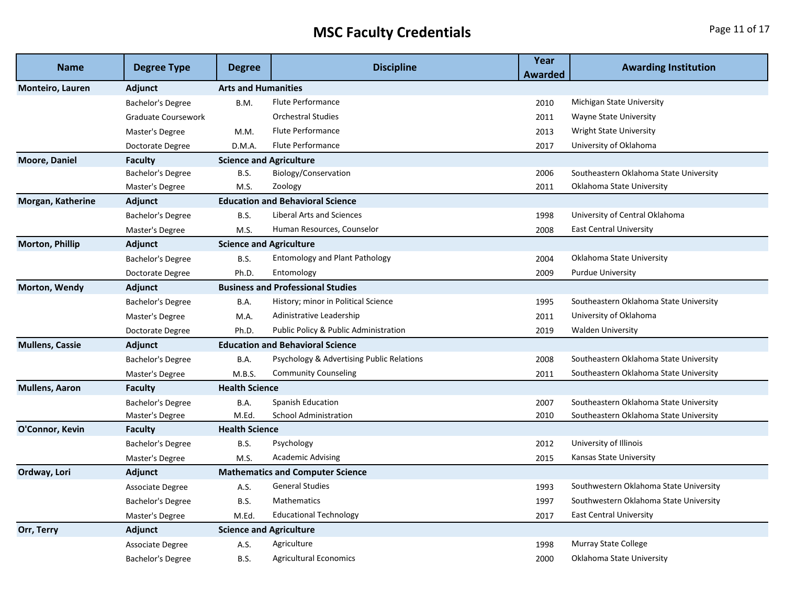## **MSC Faculty Credentials Page 11 of 17**

| <b>Name</b>             | <b>Degree Type</b>       | <b>Degree</b>                  | <b>Discipline</b>                         | Year<br>Awarded | <b>Awarding Institution</b>            |
|-------------------------|--------------------------|--------------------------------|-------------------------------------------|-----------------|----------------------------------------|
| <b>Monteiro, Lauren</b> | <b>Adjunct</b>           | <b>Arts and Humanities</b>     |                                           |                 |                                        |
|                         | Bachelor's Degree        | B.M.                           | <b>Flute Performance</b>                  | 2010            | Michigan State University              |
|                         | Graduate Coursework      |                                | <b>Orchestral Studies</b>                 | 2011            | Wayne State University                 |
|                         | Master's Degree          | M.M.                           | Flute Performance                         | 2013            | <b>Wright State University</b>         |
|                         | Doctorate Degree         | D.M.A.                         | Flute Performance                         | 2017            | University of Oklahoma                 |
| Moore, Daniel           | Faculty                  | <b>Science and Agriculture</b> |                                           |                 |                                        |
|                         | Bachelor's Degree        | B.S.                           | Biology/Conservation                      | 2006            | Southeastern Oklahoma State University |
|                         | Master's Degree          | M.S.                           | Zoology                                   | 2011            | Oklahoma State University              |
| Morgan, Katherine       | Adjunct                  |                                | <b>Education and Behavioral Science</b>   |                 |                                        |
|                         | <b>Bachelor's Degree</b> | B.S.                           | Liberal Arts and Sciences                 | 1998            | University of Central Oklahoma         |
|                         | Master's Degree          | M.S.                           | Human Resources, Counselor                | 2008            | <b>East Central University</b>         |
| <b>Morton, Phillip</b>  | Adjunct                  | <b>Science and Agriculture</b> |                                           |                 |                                        |
|                         | <b>Bachelor's Degree</b> | B.S.                           | <b>Entomology and Plant Pathology</b>     | 2004            | Oklahoma State University              |
|                         | Doctorate Degree         | Ph.D.                          | Entomology                                | 2009            | <b>Purdue University</b>               |
| Morton, Wendy           | <b>Adjunct</b>           |                                | <b>Business and Professional Studies</b>  |                 |                                        |
|                         | <b>Bachelor's Degree</b> | B.A.                           | History; minor in Political Science       | 1995            | Southeastern Oklahoma State University |
|                         | Master's Degree          | M.A.                           | Adinistrative Leadership                  | 2011            | University of Oklahoma                 |
|                         | Doctorate Degree         | Ph.D.                          | Public Policy & Public Administration     | 2019            | <b>Walden University</b>               |
| <b>Mullens, Cassie</b>  | Adjunct                  |                                | <b>Education and Behavioral Science</b>   |                 |                                        |
|                         | Bachelor's Degree        | B.A.                           | Psychology & Advertising Public Relations | 2008            | Southeastern Oklahoma State University |
|                         | Master's Degree          | M.B.S.                         | <b>Community Counseling</b>               | 2011            | Southeastern Oklahoma State University |
| <b>Mullens, Aaron</b>   | <b>Faculty</b>           | <b>Health Science</b>          |                                           |                 |                                        |
|                         | Bachelor's Degree        | B.A.                           | <b>Spanish Education</b>                  | 2007            | Southeastern Oklahoma State University |
|                         | Master's Degree          | M.Ed.                          | <b>School Administration</b>              | 2010            | Southeastern Oklahoma State University |
| O'Connor, Kevin         | <b>Faculty</b>           | <b>Health Science</b>          |                                           |                 |                                        |
|                         | Bachelor's Degree        | B.S.                           | Psychology                                | 2012            | University of Illinois                 |
|                         | Master's Degree          | M.S.                           | <b>Academic Advising</b>                  | 2015            | Kansas State University                |
| Ordway, Lori            | Adjunct                  |                                | <b>Mathematics and Computer Science</b>   |                 |                                        |
|                         | Associate Degree         | A.S.                           | <b>General Studies</b>                    | 1993            | Southwestern Oklahoma State University |
|                         | Bachelor's Degree        | B.S.                           | Mathematics                               | 1997            | Southwestern Oklahoma State University |
|                         | Master's Degree          | M.Ed.                          | <b>Educational Technology</b>             | 2017            | <b>East Central University</b>         |
| Orr, Terry              | Adjunct                  | <b>Science and Agriculture</b> |                                           |                 |                                        |
|                         | <b>Associate Degree</b>  | A.S.                           | Agriculture                               | 1998            | Murray State College                   |
|                         | Bachelor's Degree        | B.S.                           | <b>Agricultural Economics</b>             | 2000            | Oklahoma State University              |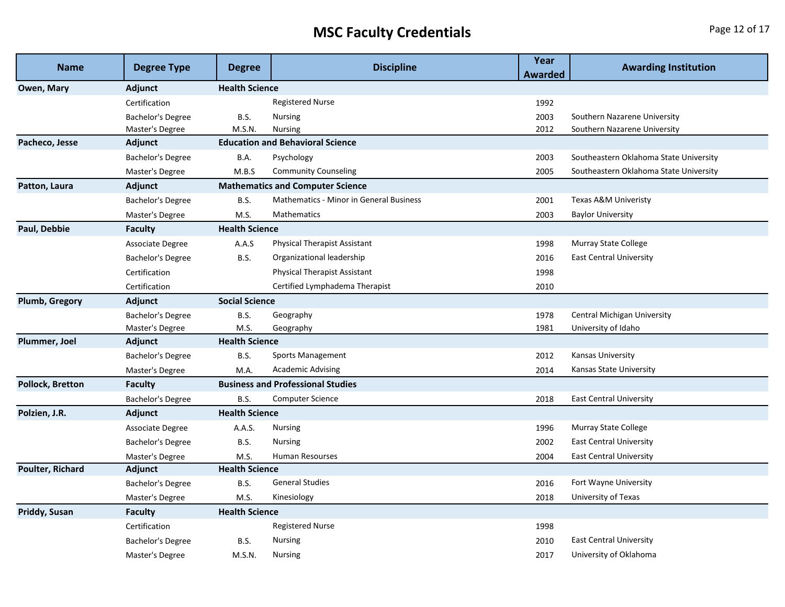## **MSC Faculty Credentials Page 12 of 17**

| <b>Name</b>             | <b>Degree Type</b> | <b>Degree</b>         | <b>Discipline</b>                              | Year<br>Awarded | <b>Awarding Institution</b>            |
|-------------------------|--------------------|-----------------------|------------------------------------------------|-----------------|----------------------------------------|
| Owen, Mary              | Adjunct            | <b>Health Science</b> |                                                |                 |                                        |
|                         | Certification      |                       | <b>Registered Nurse</b>                        | 1992            |                                        |
|                         | Bachelor's Degree  | <b>B.S.</b>           | <b>Nursing</b>                                 | 2003            | Southern Nazarene University           |
|                         | Master's Degree    | M.S.N.                | <b>Nursing</b>                                 | 2012            | Southern Nazarene University           |
| Pacheco, Jesse          | Adjunct            |                       | <b>Education and Behavioral Science</b>        |                 |                                        |
|                         | Bachelor's Degree  | B.A.                  | Psychology                                     | 2003            | Southeastern Oklahoma State University |
|                         | Master's Degree    | M.B.S                 | <b>Community Counseling</b>                    | 2005            | Southeastern Oklahoma State University |
| Patton, Laura           | Adjunct            |                       | <b>Mathematics and Computer Science</b>        |                 |                                        |
|                         | Bachelor's Degree  | B.S.                  | <b>Mathematics - Minor in General Business</b> | 2001            | Texas A&M Univeristy                   |
|                         | Master's Degree    | M.S.                  | Mathematics                                    | 2003            | <b>Baylor University</b>               |
| Paul, Debbie            | <b>Faculty</b>     | <b>Health Science</b> |                                                |                 |                                        |
|                         | Associate Degree   | A.A.S                 | <b>Physical Therapist Assistant</b>            | 1998            | Murray State College                   |
|                         | Bachelor's Degree  | B.S.                  | Organizational leadership                      | 2016            | <b>East Central University</b>         |
|                         | Certification      |                       | <b>Physical Therapist Assistant</b>            | 1998            |                                        |
|                         | Certification      |                       | Certified Lymphadema Therapist                 | 2010            |                                        |
| <b>Plumb, Gregory</b>   | Adjunct            | <b>Social Science</b> |                                                |                 |                                        |
|                         | Bachelor's Degree  | B.S.                  | Geography                                      | 1978            | <b>Central Michigan University</b>     |
|                         | Master's Degree    | M.S.                  | Geography                                      | 1981            | University of Idaho                    |
| Plummer, Joel           | Adjunct            | <b>Health Science</b> |                                                |                 |                                        |
|                         | Bachelor's Degree  | B.S.                  | Sports Management                              | 2012            | Kansas University                      |
|                         | Master's Degree    | M.A.                  | <b>Academic Advising</b>                       | 2014            | Kansas State University                |
| <b>Pollock, Bretton</b> | <b>Faculty</b>     |                       | <b>Business and Professional Studies</b>       |                 |                                        |
|                         | Bachelor's Degree  | B.S.                  | Computer Science                               | 2018            | <b>East Central University</b>         |
| Polzien, J.R.           | Adjunct            | <b>Health Science</b> |                                                |                 |                                        |
|                         | Associate Degree   | A.A.S.                | <b>Nursing</b>                                 | 1996            | Murray State College                   |
|                         | Bachelor's Degree  | B.S.                  | <b>Nursing</b>                                 | 2002            | <b>East Central University</b>         |
|                         | Master's Degree    | M.S.                  | Human Resourses                                | 2004            | <b>East Central University</b>         |
| <b>Poulter, Richard</b> | Adjunct            | <b>Health Science</b> |                                                |                 |                                        |
|                         | Bachelor's Degree  | <b>B.S.</b>           | <b>General Studies</b>                         | 2016            | Fort Wayne University                  |
|                         | Master's Degree    | M.S.                  | Kinesiology                                    | 2018            | University of Texas                    |
| Priddy, Susan           | <b>Faculty</b>     | <b>Health Science</b> |                                                |                 |                                        |
|                         | Certification      |                       | <b>Registered Nurse</b>                        | 1998            |                                        |
|                         | Bachelor's Degree  | B.S.                  | <b>Nursing</b>                                 | 2010            | <b>East Central University</b>         |
|                         | Master's Degree    | M.S.N.                | <b>Nursing</b>                                 | 2017            | University of Oklahoma                 |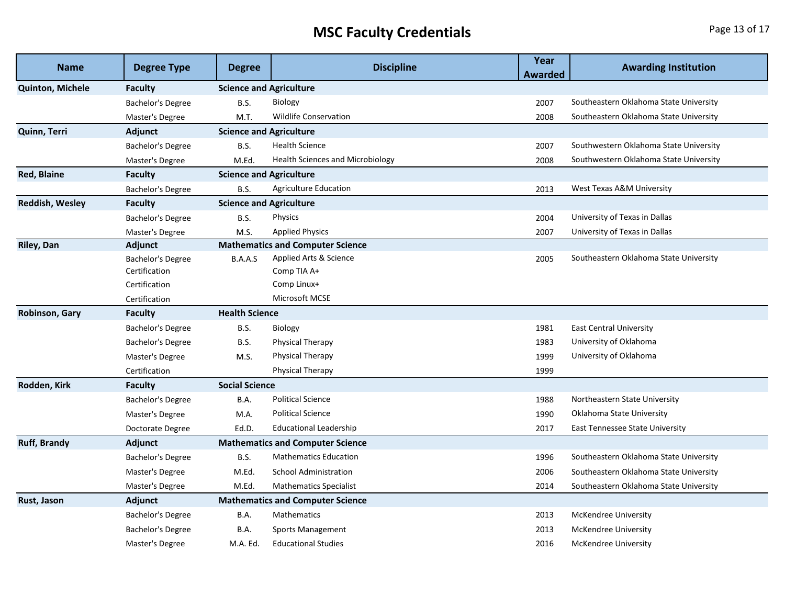## **MSC Faculty Credentials Page 13 of 17**

| <b>Name</b>             | <b>Degree Type</b>       | <b>Degree</b>                  | <b>Discipline</b>                       | Year<br>Awarded | <b>Awarding Institution</b>            |  |
|-------------------------|--------------------------|--------------------------------|-----------------------------------------|-----------------|----------------------------------------|--|
| <b>Quinton, Michele</b> | <b>Faculty</b>           |                                | <b>Science and Agriculture</b>          |                 |                                        |  |
|                         | Bachelor's Degree        | <b>B.S.</b>                    | Biology                                 | 2007            | Southeastern Oklahoma State University |  |
|                         | Master's Degree          | M.T.                           | <b>Wildlife Conservation</b>            | 2008            | Southeastern Oklahoma State University |  |
| Quinn, Terri            | Adjunct                  | <b>Science and Agriculture</b> |                                         |                 |                                        |  |
|                         | Bachelor's Degree        | B.S.                           | <b>Health Science</b>                   | 2007            | Southwestern Oklahoma State University |  |
|                         | Master's Degree          | M.Ed.                          | <b>Health Sciences and Microbiology</b> | 2008            | Southwestern Oklahoma State University |  |
| <b>Red, Blaine</b>      | <b>Faculty</b>           | <b>Science and Agriculture</b> |                                         |                 |                                        |  |
|                         | Bachelor's Degree        | <b>B.S.</b>                    | <b>Agriculture Education</b>            | 2013            | West Texas A&M University              |  |
| <b>Reddish, Wesley</b>  | Faculty                  | <b>Science and Agriculture</b> |                                         |                 |                                        |  |
|                         | <b>Bachelor's Degree</b> | <b>B.S.</b>                    | Physics                                 | 2004            | University of Texas in Dallas          |  |
|                         | Master's Degree          | M.S.                           | <b>Applied Physics</b>                  | 2007            | University of Texas in Dallas          |  |
| Riley, Dan              | Adjunct                  |                                | <b>Mathematics and Computer Science</b> |                 |                                        |  |
|                         | <b>Bachelor's Degree</b> | B.A.A.S                        | Applied Arts & Science                  | 2005            | Southeastern Oklahoma State University |  |
|                         | Certification            |                                | Comp TIA A+                             |                 |                                        |  |
|                         | Certification            |                                | Comp Linux+                             |                 |                                        |  |
|                         | Certification            |                                | Microsoft MCSE                          |                 |                                        |  |
| Robinson, Gary          | <b>Faculty</b>           |                                | <b>Health Science</b>                   |                 |                                        |  |
|                         | Bachelor's Degree        | <b>B.S.</b>                    | Biology                                 | 1981            | <b>East Central University</b>         |  |
|                         | <b>Bachelor's Degree</b> | <b>B.S.</b>                    | Physical Therapy                        | 1983            | University of Oklahoma                 |  |
|                         | Master's Degree          | M.S.                           | Physical Therapy                        | 1999            | University of Oklahoma                 |  |
|                         | Certification            |                                | Physical Therapy                        | 1999            |                                        |  |
| Rodden, Kirk            | <b>Faculty</b>           | <b>Social Science</b>          |                                         |                 |                                        |  |
|                         | <b>Bachelor's Degree</b> | B.A.                           | <b>Political Science</b>                | 1988            | Northeastern State University          |  |
|                         | Master's Degree          | M.A.                           | <b>Political Science</b>                | 1990            | Oklahoma State University              |  |
|                         | Doctorate Degree         | Ed.D.                          | <b>Educational Leadership</b>           | 2017            | East Tennessee State University        |  |
| <b>Ruff, Brandy</b>     | Adjunct                  |                                | <b>Mathematics and Computer Science</b> |                 |                                        |  |
|                         | Bachelor's Degree        | <b>B.S.</b>                    | <b>Mathematics Education</b>            | 1996            | Southeastern Oklahoma State University |  |
|                         | Master's Degree          | M.Ed.                          | <b>School Administration</b>            | 2006            | Southeastern Oklahoma State University |  |
|                         | Master's Degree          | M.Ed.                          | <b>Mathematics Specialist</b>           | 2014            | Southeastern Oklahoma State University |  |
| Rust, Jason             | Adjunct                  |                                | <b>Mathematics and Computer Science</b> |                 |                                        |  |
|                         | Bachelor's Degree        | B.A.                           | <b>Mathematics</b>                      | 2013            | McKendree University                   |  |
|                         | <b>Bachelor's Degree</b> | B.A.                           | Sports Management                       | 2013            | <b>McKendree University</b>            |  |
|                         | Master's Degree          | M.A. Ed.                       | <b>Educational Studies</b>              | 2016            | <b>McKendree University</b>            |  |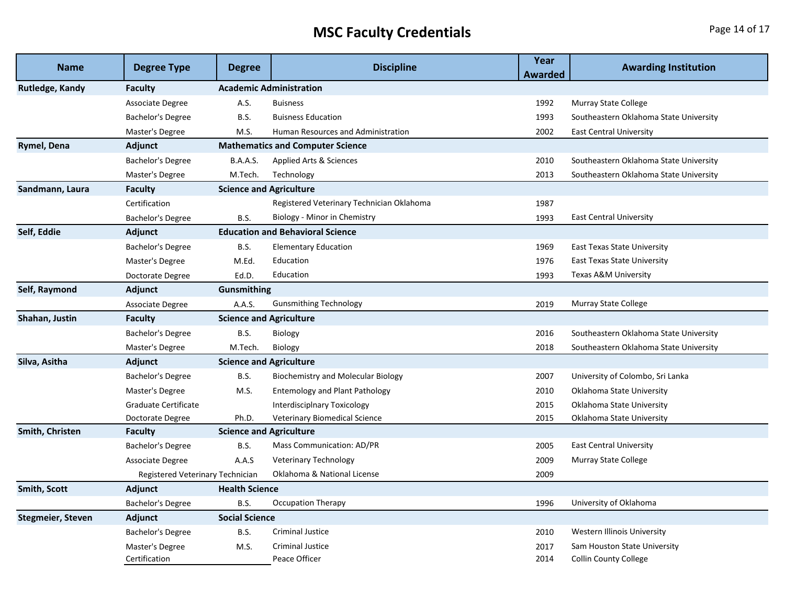## **MSC Faculty Credentials**

| <b>Name</b>              | <b>Degree Type</b>               | <b>Degree</b>                  | <b>Discipline</b>                         | Year<br><b>Awarded</b> | <b>Awarding Institution</b>            |  |
|--------------------------|----------------------------------|--------------------------------|-------------------------------------------|------------------------|----------------------------------------|--|
| Rutledge, Kandy          | <b>Faculty</b>                   | <b>Academic Administration</b> |                                           |                        |                                        |  |
|                          | Associate Degree                 | A.S.                           | <b>Buisness</b>                           | 1992                   | <b>Murray State College</b>            |  |
|                          | Bachelor's Degree                | B.S.                           | <b>Buisness Education</b>                 | 1993                   | Southeastern Oklahoma State University |  |
|                          | Master's Degree                  | M.S.                           | Human Resources and Administration        | 2002                   | <b>East Central University</b>         |  |
| Rymel, Dena              | Adjunct                          |                                | <b>Mathematics and Computer Science</b>   |                        |                                        |  |
|                          | <b>Bachelor's Degree</b>         | <b>B.A.A.S.</b>                | Applied Arts & Sciences                   | 2010                   | Southeastern Oklahoma State University |  |
|                          | Master's Degree                  | M.Tech.                        | Technology                                | 2013                   | Southeastern Oklahoma State University |  |
| Sandmann, Laura          | <b>Faculty</b>                   | <b>Science and Agriculture</b> |                                           |                        |                                        |  |
|                          | Certification                    |                                | Registered Veterinary Technician Oklahoma | 1987                   |                                        |  |
|                          | Bachelor's Degree                | B.S.                           | Biology - Minor in Chemistry              | 1993                   | <b>East Central University</b>         |  |
| Self, Eddie              | Adjunct                          |                                | <b>Education and Behavioral Science</b>   |                        |                                        |  |
|                          | <b>Bachelor's Degree</b>         | <b>B.S.</b>                    | <b>Elementary Education</b>               | 1969                   | <b>East Texas State University</b>     |  |
|                          | Master's Degree                  | M.Ed.                          | Education                                 | 1976                   | <b>East Texas State University</b>     |  |
|                          | Doctorate Degree                 | Ed.D.                          | Education                                 | 1993                   | Texas A&M University                   |  |
| Self, Raymond            | Adjunct                          | Gunsmithing                    |                                           |                        |                                        |  |
|                          | Associate Degree                 | A.A.S.                         | <b>Gunsmithing Technology</b>             | 2019                   | Murray State College                   |  |
| Shahan, Justin           | <b>Faculty</b>                   |                                | <b>Science and Agriculture</b>            |                        |                                        |  |
|                          | <b>Bachelor's Degree</b>         | B.S.                           | Biology                                   | 2016                   | Southeastern Oklahoma State University |  |
|                          | Master's Degree                  | M.Tech.                        | <b>Biology</b>                            | 2018                   | Southeastern Oklahoma State University |  |
| Silva, Asitha            | Adjunct                          | <b>Science and Agriculture</b> |                                           |                        |                                        |  |
|                          | Bachelor's Degree                | <b>B.S.</b>                    | Biochemistry and Molecular Biology        | 2007                   | University of Colombo, Sri Lanka       |  |
|                          | Master's Degree                  | M.S.                           | <b>Entemology and Plant Pathology</b>     | 2010                   | Oklahoma State University              |  |
|                          | Graduate Certificate             |                                | <b>Interdisciplnary Toxicology</b>        | 2015                   | Oklahoma State University              |  |
|                          | Doctorate Degree                 | Ph.D.                          | <b>Veterinary Biomedical Science</b>      | 2015                   | Oklahoma State University              |  |
| Smith, Christen          | <b>Faculty</b>                   | <b>Science and Agriculture</b> |                                           |                        |                                        |  |
|                          | Bachelor's Degree                | <b>B.S.</b>                    | <b>Mass Communication: AD/PR</b>          | 2005                   | <b>East Central University</b>         |  |
|                          | Associate Degree                 | A.A.S                          | Veterinary Technology                     | 2009                   | Murray State College                   |  |
|                          | Registered Veterinary Technician |                                | Oklahoma & National License               | 2009                   |                                        |  |
| <b>Smith, Scott</b>      | <b>Adjunct</b>                   | <b>Health Science</b>          |                                           |                        |                                        |  |
|                          | Bachelor's Degree                | B.S.                           | Occupation Therapy                        | 1996                   | University of Oklahoma                 |  |
| <b>Stegmeier, Steven</b> | Adjunct                          | <b>Social Science</b>          |                                           |                        |                                        |  |
|                          | Bachelor's Degree                | <b>B.S.</b>                    | <b>Criminal Justice</b>                   | 2010                   | Western Illinois University            |  |
|                          | Master's Degree                  | M.S.                           | <b>Criminal Justice</b>                   | 2017                   | Sam Houston State University           |  |
|                          | Certification                    |                                | Peace Officer                             | 2014                   | <b>Collin County College</b>           |  |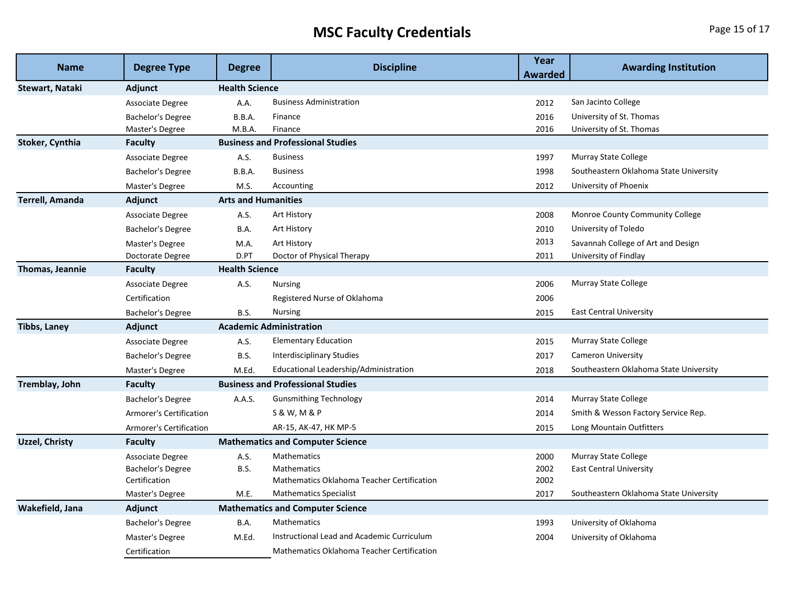## **MSC Faculty Credentials Page 15 of 17**

| <b>Name</b>            | <b>Degree Type</b>             | <b>Degree</b>                           | <b>Discipline</b>                          | Year<br>Awarded | <b>Awarding Institution</b>            |  |
|------------------------|--------------------------------|-----------------------------------------|--------------------------------------------|-----------------|----------------------------------------|--|
| Stewart, Nataki        | <b>Adjunct</b>                 | <b>Health Science</b>                   |                                            |                 |                                        |  |
|                        | Associate Degree               | A.A.                                    | <b>Business Administration</b>             | 2012            | San Jacinto College                    |  |
|                        | Bachelor's Degree              | B.B.A.                                  | Finance                                    | 2016            | University of St. Thomas               |  |
|                        | Master's Degree                | M.B.A.                                  | Finance                                    | 2016            | University of St. Thomas               |  |
| Stoker, Cynthia        | <b>Faculty</b>                 |                                         | <b>Business and Professional Studies</b>   |                 |                                        |  |
|                        | Associate Degree               | A.S.                                    | <b>Business</b>                            | 1997            | <b>Murray State College</b>            |  |
|                        | Bachelor's Degree              | B.B.A.                                  | <b>Business</b>                            | 1998            | Southeastern Oklahoma State University |  |
|                        | Master's Degree                | M.S.                                    | Accounting                                 | 2012            | University of Phoenix                  |  |
| <b>Terrell, Amanda</b> | Adjunct                        | <b>Arts and Humanities</b>              |                                            |                 |                                        |  |
|                        | Associate Degree               | A.S.                                    | Art History                                | 2008            | Monroe County Community College        |  |
|                        | Bachelor's Degree              | B.A.                                    | Art History                                | 2010            | University of Toledo                   |  |
|                        | Master's Degree                | M.A.                                    | Art History                                | 2013            | Savannah College of Art and Design     |  |
|                        | Doctorate Degree               | D.PT                                    | Doctor of Physical Therapy                 | 2011            | University of Findlay                  |  |
| <b>Thomas, Jeannie</b> | <b>Faculty</b>                 | <b>Health Science</b>                   |                                            |                 |                                        |  |
|                        | Associate Degree               | A.S.                                    | <b>Nursing</b>                             | 2006            | Murray State College                   |  |
|                        | Certification                  |                                         | Registered Nurse of Oklahoma               | 2006            |                                        |  |
|                        | Bachelor's Degree              | <b>B.S.</b>                             | <b>Nursing</b>                             | 2015            | <b>East Central University</b>         |  |
| <b>Tibbs, Laney</b>    | Adjunct                        | <b>Academic Administration</b>          |                                            |                 |                                        |  |
|                        | Associate Degree               | A.S.                                    | <b>Elementary Education</b>                | 2015            | Murray State College                   |  |
|                        | Bachelor's Degree              | <b>B.S.</b>                             | <b>Interdisciplinary Studies</b>           | 2017            | <b>Cameron University</b>              |  |
|                        | Master's Degree                | M.Ed.                                   | Educational Leadership/Administration      | 2018            | Southeastern Oklahoma State University |  |
| Tremblay, John         | <b>Faculty</b>                 |                                         | <b>Business and Professional Studies</b>   |                 |                                        |  |
|                        | Bachelor's Degree              | A.A.S.                                  | <b>Gunsmithing Technology</b>              | 2014            | <b>Murray State College</b>            |  |
|                        | <b>Armorer's Certification</b> |                                         | <b>S &amp; W, M &amp; P</b>                | 2014            | Smith & Wesson Factory Service Rep.    |  |
|                        | Armorer's Certification        |                                         | AR-15, AK-47, HK MP-5                      | 2015            | Long Mountain Outfitters               |  |
| <b>Uzzel, Christy</b>  | Faculty                        | <b>Mathematics and Computer Science</b> |                                            |                 |                                        |  |
|                        | Associate Degree               | A.S.                                    | <b>Mathematics</b>                         | 2000            | Murray State College                   |  |
|                        | Bachelor's Degree              | <b>B.S.</b>                             | Mathematics                                | 2002            | <b>East Central University</b>         |  |
|                        | Certification                  |                                         | Mathematics Oklahoma Teacher Certification | 2002            |                                        |  |
|                        | Master's Degree                | M.E.                                    | <b>Mathematics Specialist</b>              | 2017            | Southeastern Oklahoma State University |  |
| Wakefield, Jana        | Adjunct                        |                                         | <b>Mathematics and Computer Science</b>    |                 |                                        |  |
|                        | Bachelor's Degree              | B.A.                                    | Mathematics                                | 1993            | University of Oklahoma                 |  |
|                        | Master's Degree                | M.Ed.                                   | Instructional Lead and Academic Curriculum | 2004            | University of Oklahoma                 |  |
|                        | Certification                  |                                         | Mathematics Oklahoma Teacher Certification |                 |                                        |  |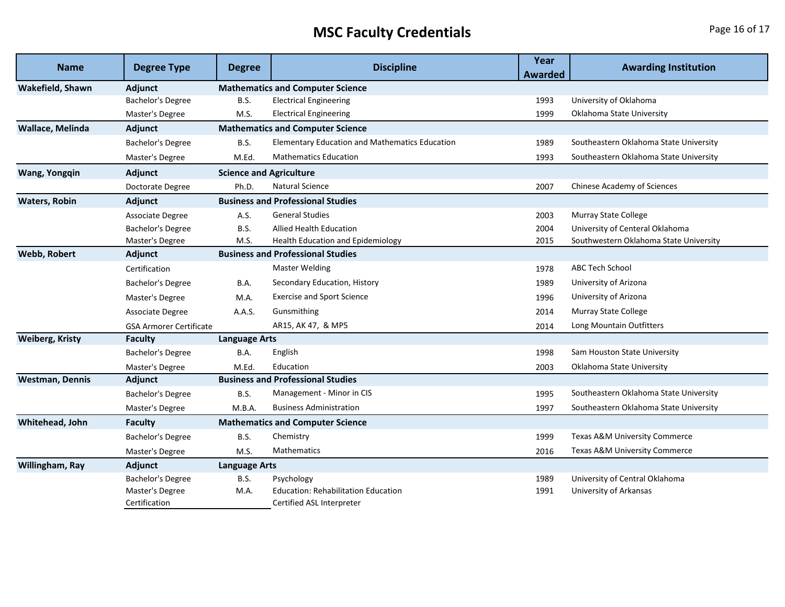## **MSC Faculty Credentials**

| Page 16 of 17 |  |  |
|---------------|--|--|
|---------------|--|--|

| <b>Name</b>            | <b>Degree Type</b>               | <b>Degree</b>                            | <b>Discipline</b>                                                       | Year<br>Awarded | <b>Awarding Institution</b>              |
|------------------------|----------------------------------|------------------------------------------|-------------------------------------------------------------------------|-----------------|------------------------------------------|
| Wakefield, Shawn       | Adjunct                          |                                          | <b>Mathematics and Computer Science</b>                                 |                 |                                          |
|                        | Bachelor's Degree                | <b>B.S.</b>                              | <b>Electrical Engineering</b>                                           | 1993            | University of Oklahoma                   |
|                        | Master's Degree                  | M.S.                                     | <b>Electrical Engineering</b>                                           | 1999            | Oklahoma State University                |
| Wallace, Melinda       | Adjunct                          |                                          | <b>Mathematics and Computer Science</b>                                 |                 |                                          |
|                        | Bachelor's Degree                | <b>B.S.</b>                              | <b>Elementary Education and Mathematics Education</b>                   | 1989            | Southeastern Oklahoma State University   |
|                        | Master's Degree                  | M.Ed.                                    | <b>Mathematics Education</b>                                            | 1993            | Southeastern Oklahoma State University   |
| <b>Wang, Yongqin</b>   | Adjunct                          | <b>Science and Agriculture</b>           |                                                                         |                 |                                          |
|                        | Doctorate Degree                 | Ph.D.                                    | <b>Natural Science</b>                                                  | 2007            | Chinese Academy of Sciences              |
| <b>Waters, Robin</b>   | Adjunct                          |                                          | <b>Business and Professional Studies</b>                                |                 |                                          |
|                        | Associate Degree                 | A.S.                                     | <b>General Studies</b>                                                  | 2003            | Murray State College                     |
|                        | Bachelor's Degree                | <b>B.S.</b>                              | <b>Allied Health Education</b>                                          | 2004            | University of Centeral Oklahoma          |
|                        | Master's Degree                  | M.S.                                     | <b>Health Education and Epidemiology</b>                                | 2015            | Southwestern Oklahoma State University   |
| <b>Webb, Robert</b>    | Adjunct                          |                                          | <b>Business and Professional Studies</b>                                |                 |                                          |
|                        | Certification                    |                                          | <b>Master Welding</b>                                                   | 1978            | <b>ABC Tech School</b>                   |
|                        | Bachelor's Degree                | B.A.                                     | Secondary Education, History                                            | 1989            | University of Arizona                    |
|                        | Master's Degree                  | M.A.                                     | <b>Exercise and Sport Science</b>                                       | 1996            | University of Arizona                    |
|                        | Associate Degree                 | A.A.S.                                   | Gunsmithing                                                             | 2014            | <b>Murray State College</b>              |
|                        | <b>GSA Armorer Certificate</b>   |                                          | AR15, AK 47, & MP5                                                      | 2014            | Long Mountain Outfitters                 |
| <b>Weiberg, Kristy</b> | Faculty<br><b>Language Arts</b>  |                                          |                                                                         |                 |                                          |
|                        | Bachelor's Degree                | B.A.                                     | English                                                                 | 1998            | Sam Houston State University             |
|                        | Master's Degree                  | M.Ed.                                    | Education                                                               | 2003            | Oklahoma State University                |
| <b>Westman, Dennis</b> | Adjunct                          | <b>Business and Professional Studies</b> |                                                                         |                 |                                          |
|                        | Bachelor's Degree                | <b>B.S.</b>                              | Management - Minor in CIS                                               | 1995            | Southeastern Oklahoma State University   |
|                        | Master's Degree                  | M.B.A.                                   | <b>Business Administration</b>                                          | 1997            | Southeastern Oklahoma State University   |
| Whitehead, John        | <b>Faculty</b>                   |                                          | <b>Mathematics and Computer Science</b>                                 |                 |                                          |
|                        | Bachelor's Degree                | <b>B.S.</b>                              | Chemistry                                                               | 1999            | <b>Texas A&amp;M University Commerce</b> |
|                        | Master's Degree                  | M.S.                                     | <b>Mathematics</b>                                                      | 2016            | Texas A&M University Commerce            |
| Willingham, Ray        | Adjunct                          | <b>Language Arts</b>                     |                                                                         |                 |                                          |
|                        | Bachelor's Degree                | <b>B.S.</b>                              | Psychology                                                              | 1989            | University of Central Oklahoma           |
|                        | Master's Degree<br>Certification | M.A.                                     | <b>Education: Rehabilitation Education</b><br>Certified ASL Interpreter | 1991            | University of Arkansas                   |